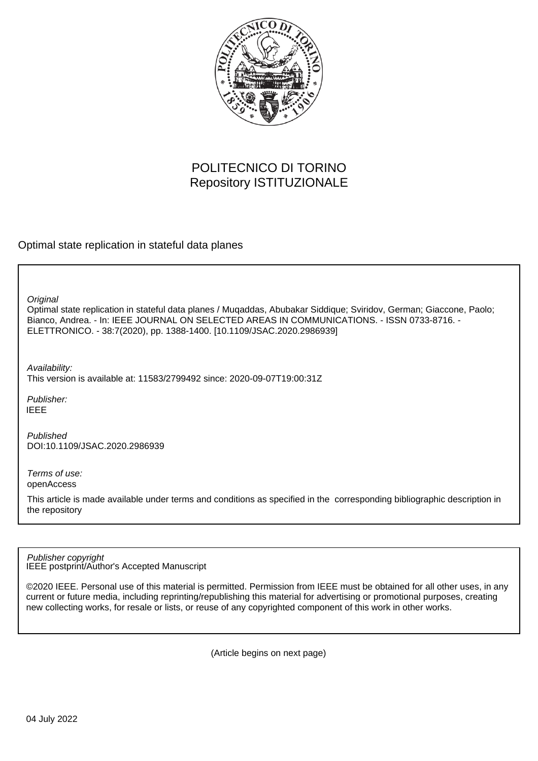

# POLITECNICO DI TORINO Repository ISTITUZIONALE

Optimal state replication in stateful data planes

**Original** 

Optimal state replication in stateful data planes / Muqaddas, Abubakar Siddique; Sviridov, German; Giaccone, Paolo; Bianco, Andrea. - In: IEEE JOURNAL ON SELECTED AREAS IN COMMUNICATIONS. - ISSN 0733-8716. - ELETTRONICO. - 38:7(2020), pp. 1388-1400. [10.1109/JSAC.2020.2986939]

Availability:

This version is available at: 11583/2799492 since: 2020-09-07T19:00:31Z

Publisher: IEEE

Published DOI:10.1109/JSAC.2020.2986939

Terms of use: openAccess

This article is made available under terms and conditions as specified in the corresponding bibliographic description in the repository

IEEE postprint/Author's Accepted Manuscript Publisher copyright

©2020 IEEE. Personal use of this material is permitted. Permission from IEEE must be obtained for all other uses, in any current or future media, including reprinting/republishing this material for advertising or promotional purposes, creating new collecting works, for resale or lists, or reuse of any copyrighted component of this work in other works.

(Article begins on next page)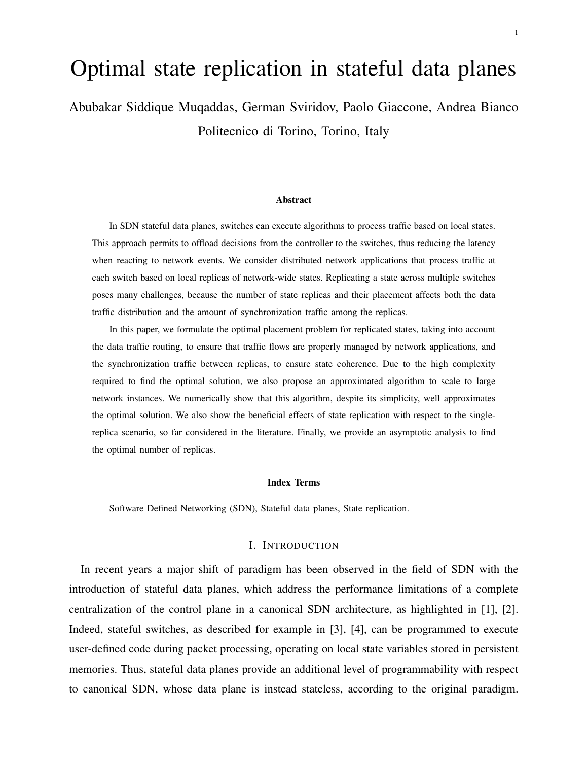# Optimal state replication in stateful data planes

Abubakar Siddique Muqaddas, German Sviridov, Paolo Giaccone, Andrea Bianco Politecnico di Torino, Torino, Italy

#### Abstract

In SDN stateful data planes, switches can execute algorithms to process traffic based on local states. This approach permits to offload decisions from the controller to the switches, thus reducing the latency when reacting to network events. We consider distributed network applications that process traffic at each switch based on local replicas of network-wide states. Replicating a state across multiple switches poses many challenges, because the number of state replicas and their placement affects both the data traffic distribution and the amount of synchronization traffic among the replicas.

In this paper, we formulate the optimal placement problem for replicated states, taking into account the data traffic routing, to ensure that traffic flows are properly managed by network applications, and the synchronization traffic between replicas, to ensure state coherence. Due to the high complexity required to find the optimal solution, we also propose an approximated algorithm to scale to large network instances. We numerically show that this algorithm, despite its simplicity, well approximates the optimal solution. We also show the beneficial effects of state replication with respect to the singlereplica scenario, so far considered in the literature. Finally, we provide an asymptotic analysis to find the optimal number of replicas.

#### Index Terms

Software Defined Networking (SDN), Stateful data planes, State replication.

#### I. INTRODUCTION

In recent years a major shift of paradigm has been observed in the field of SDN with the introduction of stateful data planes, which address the performance limitations of a complete centralization of the control plane in a canonical SDN architecture, as highlighted in [1], [2]. Indeed, stateful switches, as described for example in [3], [4], can be programmed to execute user-defined code during packet processing, operating on local state variables stored in persistent memories. Thus, stateful data planes provide an additional level of programmability with respect to canonical SDN, whose data plane is instead stateless, according to the original paradigm.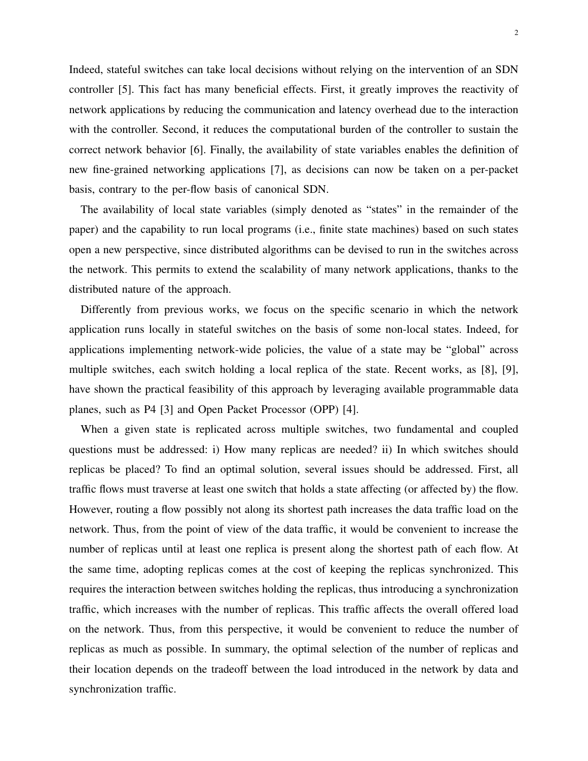Indeed, stateful switches can take local decisions without relying on the intervention of an SDN controller [5]. This fact has many beneficial effects. First, it greatly improves the reactivity of network applications by reducing the communication and latency overhead due to the interaction with the controller. Second, it reduces the computational burden of the controller to sustain the correct network behavior [6]. Finally, the availability of state variables enables the definition of new fine-grained networking applications [7], as decisions can now be taken on a per-packet basis, contrary to the per-flow basis of canonical SDN.

The availability of local state variables (simply denoted as "states" in the remainder of the paper) and the capability to run local programs (i.e., finite state machines) based on such states open a new perspective, since distributed algorithms can be devised to run in the switches across the network. This permits to extend the scalability of many network applications, thanks to the distributed nature of the approach.

Differently from previous works, we focus on the specific scenario in which the network application runs locally in stateful switches on the basis of some non-local states. Indeed, for applications implementing network-wide policies, the value of a state may be "global" across multiple switches, each switch holding a local replica of the state. Recent works, as [8], [9], have shown the practical feasibility of this approach by leveraging available programmable data planes, such as P4 [3] and Open Packet Processor (OPP) [4].

When a given state is replicated across multiple switches, two fundamental and coupled questions must be addressed: i) How many replicas are needed? ii) In which switches should replicas be placed? To find an optimal solution, several issues should be addressed. First, all traffic flows must traverse at least one switch that holds a state affecting (or affected by) the flow. However, routing a flow possibly not along its shortest path increases the data traffic load on the network. Thus, from the point of view of the data traffic, it would be convenient to increase the number of replicas until at least one replica is present along the shortest path of each flow. At the same time, adopting replicas comes at the cost of keeping the replicas synchronized. This requires the interaction between switches holding the replicas, thus introducing a synchronization traffic, which increases with the number of replicas. This traffic affects the overall offered load on the network. Thus, from this perspective, it would be convenient to reduce the number of replicas as much as possible. In summary, the optimal selection of the number of replicas and their location depends on the tradeoff between the load introduced in the network by data and synchronization traffic.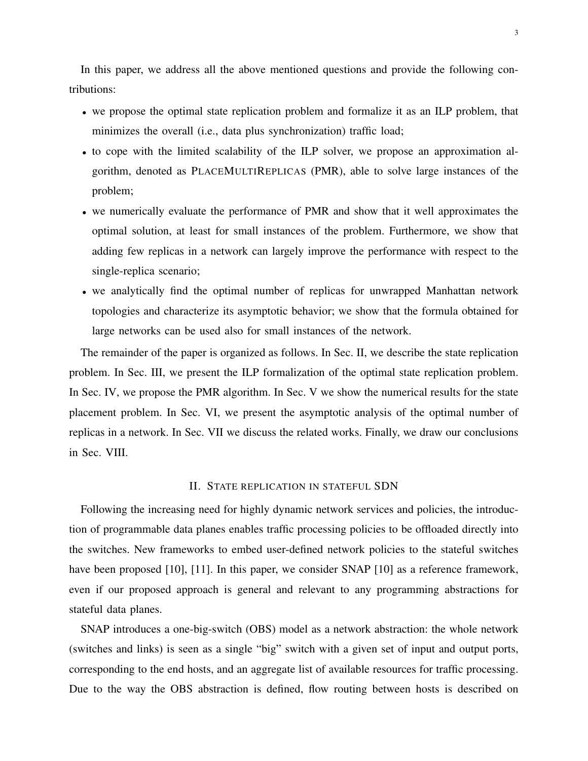In this paper, we address all the above mentioned questions and provide the following contributions:

- we propose the optimal state replication problem and formalize it as an ILP problem, that minimizes the overall (i.e., data plus synchronization) traffic load;
- to cope with the limited scalability of the ILP solver, we propose an approximation algorithm, denoted as PLACEMULTIREPLICAS (PMR), able to solve large instances of the problem;
- we numerically evaluate the performance of PMR and show that it well approximates the optimal solution, at least for small instances of the problem. Furthermore, we show that adding few replicas in a network can largely improve the performance with respect to the single-replica scenario;
- we analytically find the optimal number of replicas for unwrapped Manhattan network topologies and characterize its asymptotic behavior; we show that the formula obtained for large networks can be used also for small instances of the network.

The remainder of the paper is organized as follows. In Sec. II, we describe the state replication problem. In Sec. III, we present the ILP formalization of the optimal state replication problem. In Sec. IV, we propose the PMR algorithm. In Sec. V we show the numerical results for the state placement problem. In Sec. VI, we present the asymptotic analysis of the optimal number of replicas in a network. In Sec. VII we discuss the related works. Finally, we draw our conclusions in Sec. VIII.

### II. STATE REPLICATION IN STATEFUL SDN

Following the increasing need for highly dynamic network services and policies, the introduction of programmable data planes enables traffic processing policies to be offloaded directly into the switches. New frameworks to embed user-defined network policies to the stateful switches have been proposed [10], [11]. In this paper, we consider SNAP [10] as a reference framework, even if our proposed approach is general and relevant to any programming abstractions for stateful data planes.

SNAP introduces a one-big-switch (OBS) model as a network abstraction: the whole network (switches and links) is seen as a single "big" switch with a given set of input and output ports, corresponding to the end hosts, and an aggregate list of available resources for traffic processing. Due to the way the OBS abstraction is defined, flow routing between hosts is described on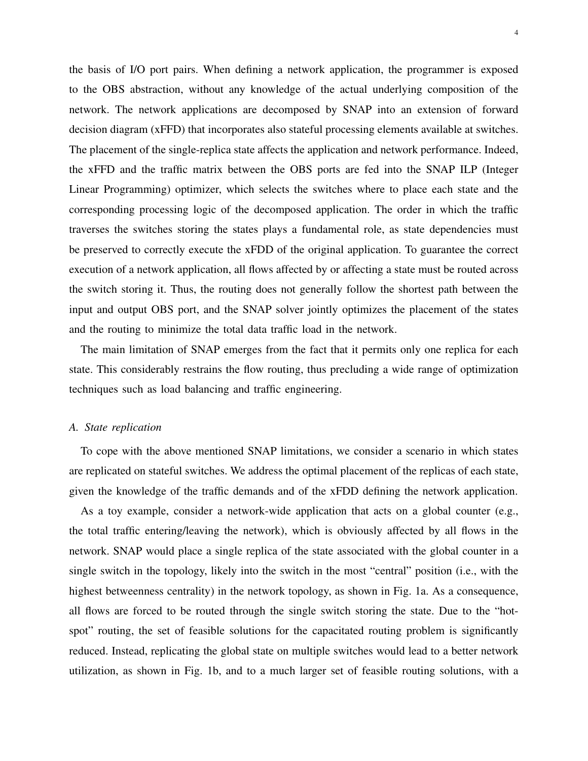the basis of I/O port pairs. When defining a network application, the programmer is exposed to the OBS abstraction, without any knowledge of the actual underlying composition of the network. The network applications are decomposed by SNAP into an extension of forward decision diagram (xFFD) that incorporates also stateful processing elements available at switches. The placement of the single-replica state affects the application and network performance. Indeed, the xFFD and the traffic matrix between the OBS ports are fed into the SNAP ILP (Integer Linear Programming) optimizer, which selects the switches where to place each state and the corresponding processing logic of the decomposed application. The order in which the traffic traverses the switches storing the states plays a fundamental role, as state dependencies must be preserved to correctly execute the xFDD of the original application. To guarantee the correct execution of a network application, all flows affected by or affecting a state must be routed across the switch storing it. Thus, the routing does not generally follow the shortest path between the input and output OBS port, and the SNAP solver jointly optimizes the placement of the states and the routing to minimize the total data traffic load in the network.

The main limitation of SNAP emerges from the fact that it permits only one replica for each state. This considerably restrains the flow routing, thus precluding a wide range of optimization techniques such as load balancing and traffic engineering.

# *A. State replication*

To cope with the above mentioned SNAP limitations, we consider a scenario in which states are replicated on stateful switches. We address the optimal placement of the replicas of each state, given the knowledge of the traffic demands and of the xFDD defining the network application.

As a toy example, consider a network-wide application that acts on a global counter (e.g., the total traffic entering/leaving the network), which is obviously affected by all flows in the network. SNAP would place a single replica of the state associated with the global counter in a single switch in the topology, likely into the switch in the most "central" position (i.e., with the highest betweenness centrality) in the network topology, as shown in Fig. 1a. As a consequence, all flows are forced to be routed through the single switch storing the state. Due to the "hotspot" routing, the set of feasible solutions for the capacitated routing problem is significantly reduced. Instead, replicating the global state on multiple switches would lead to a better network utilization, as shown in Fig. 1b, and to a much larger set of feasible routing solutions, with a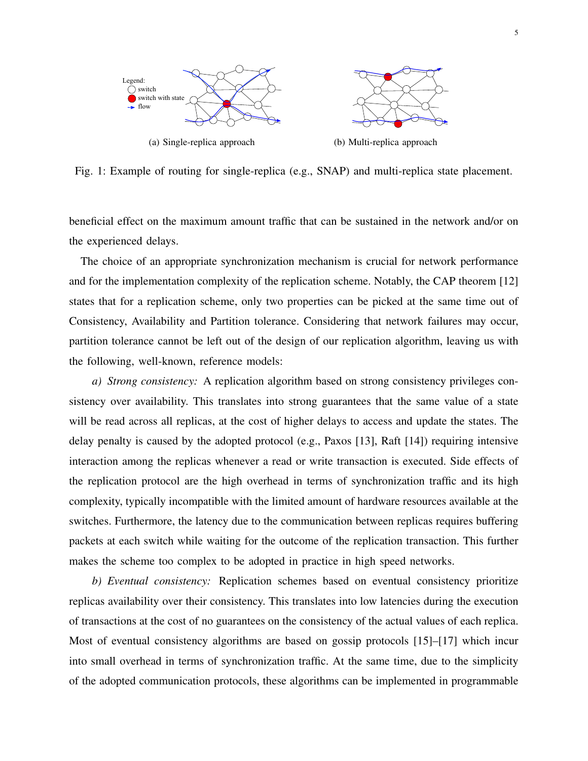

Fig. 1: Example of routing for single-replica (e.g., SNAP) and multi-replica state placement.

beneficial effect on the maximum amount traffic that can be sustained in the network and/or on the experienced delays.

The choice of an appropriate synchronization mechanism is crucial for network performance and for the implementation complexity of the replication scheme. Notably, the CAP theorem [12] states that for a replication scheme, only two properties can be picked at the same time out of Consistency, Availability and Partition tolerance. Considering that network failures may occur, partition tolerance cannot be left out of the design of our replication algorithm, leaving us with the following, well-known, reference models:

*a) Strong consistency:* A replication algorithm based on strong consistency privileges consistency over availability. This translates into strong guarantees that the same value of a state will be read across all replicas, at the cost of higher delays to access and update the states. The delay penalty is caused by the adopted protocol (e.g., Paxos [13], Raft [14]) requiring intensive interaction among the replicas whenever a read or write transaction is executed. Side effects of the replication protocol are the high overhead in terms of synchronization traffic and its high complexity, typically incompatible with the limited amount of hardware resources available at the switches. Furthermore, the latency due to the communication between replicas requires buffering packets at each switch while waiting for the outcome of the replication transaction. This further makes the scheme too complex to be adopted in practice in high speed networks.

*b) Eventual consistency:* Replication schemes based on eventual consistency prioritize replicas availability over their consistency. This translates into low latencies during the execution of transactions at the cost of no guarantees on the consistency of the actual values of each replica. Most of eventual consistency algorithms are based on gossip protocols [15]–[17] which incur into small overhead in terms of synchronization traffic. At the same time, due to the simplicity of the adopted communication protocols, these algorithms can be implemented in programmable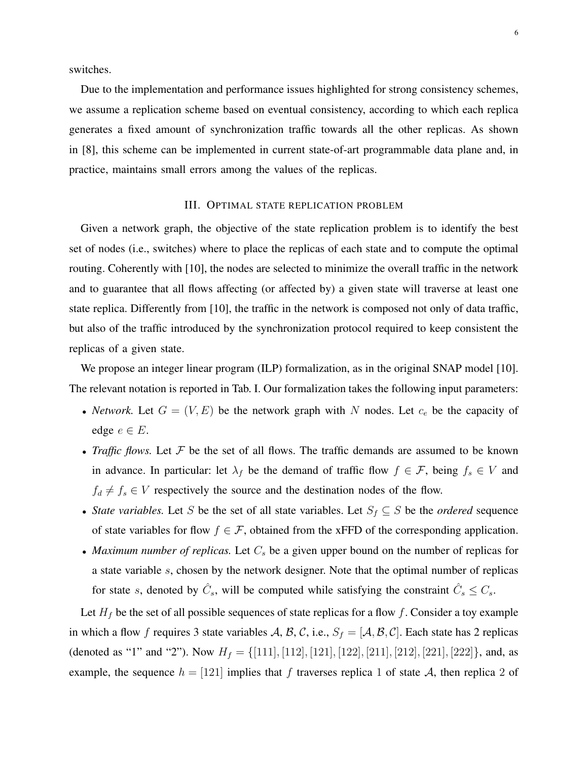switches.

Due to the implementation and performance issues highlighted for strong consistency schemes, we assume a replication scheme based on eventual consistency, according to which each replica generates a fixed amount of synchronization traffic towards all the other replicas. As shown in [8], this scheme can be implemented in current state-of-art programmable data plane and, in practice, maintains small errors among the values of the replicas.

### III. OPTIMAL STATE REPLICATION PROBLEM

Given a network graph, the objective of the state replication problem is to identify the best set of nodes (i.e., switches) where to place the replicas of each state and to compute the optimal routing. Coherently with [10], the nodes are selected to minimize the overall traffic in the network and to guarantee that all flows affecting (or affected by) a given state will traverse at least one state replica. Differently from [10], the traffic in the network is composed not only of data traffic, but also of the traffic introduced by the synchronization protocol required to keep consistent the replicas of a given state.

We propose an integer linear program (ILP) formalization, as in the original SNAP model [10]. The relevant notation is reported in Tab. I. Our formalization takes the following input parameters:

- *Network.* Let  $G = (V, E)$  be the network graph with N nodes. Let  $c_e$  be the capacity of edge  $e \in E$ .
- *Traffic flows.* Let  $F$  be the set of all flows. The traffic demands are assumed to be known in advance. In particular: let  $\lambda_f$  be the demand of traffic flow  $f \in \mathcal{F}$ , being  $f_s \in V$  and  $f_d \neq f_s \in V$  respectively the source and the destination nodes of the flow.
- *State variables.* Let S be the set of all state variables. Let  $S_f \subseteq S$  be the *ordered* sequence of state variables for flow  $f \in \mathcal{F}$ , obtained from the xFFD of the corresponding application.
- *Maximum number of replicas.* Let  $C_s$  be a given upper bound on the number of replicas for a state variable s, chosen by the network designer. Note that the optimal number of replicas for state s, denoted by  $\hat{C}_s$ , will be computed while satisfying the constraint  $\hat{C}_s \leq C_s$ .

Let  $H_f$  be the set of all possible sequences of state replicas for a flow f. Consider a toy example in which a flow f requires 3 state variables A, B, C, i.e.,  $S_f = [A, B, C]$ . Each state has 2 replicas (denoted as "1" and "2"). Now  $H_f = \{[111], [112], [121], [122], [211], [212], [221],$  and, as example, the sequence  $h = [121]$  implies that f traverses replica 1 of state A, then replica 2 of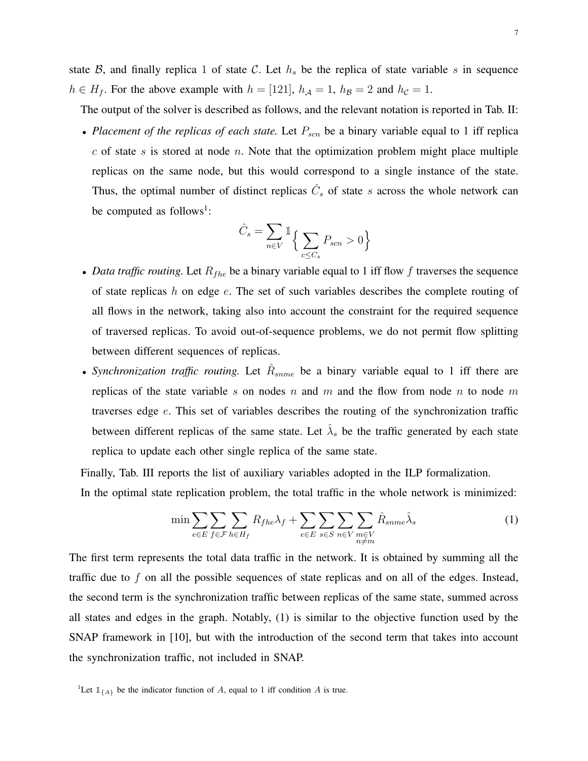state B, and finally replica 1 of state C. Let  $h<sub>s</sub>$  be the replica of state variable s in sequence  $h \in H_f$ . For the above example with  $h = [121]$ ,  $h_A = 1$ ,  $h_B = 2$  and  $h_C = 1$ .

The output of the solver is described as follows, and the relevant notation is reported in Tab. II:

• *Placement of the replicas of each state.* Let  $P_{scn}$  be a binary variable equal to 1 iff replica  $c$  of state s is stored at node n. Note that the optimization problem might place multiple replicas on the same node, but this would correspond to a single instance of the state. Thus, the optimal number of distinct replicas  $\hat{C}_s$  of state s across the whole network can be computed as follows<sup>1</sup>:

$$
\hat{C}_s = \sum_{n \in V} \mathbb{1}_{\left\{ \sum_{c \le C_s} P_{scn} > 0 \right\}}
$$

- *Data traffic routing.* Let  $R_{fhe}$  be a binary variable equal to 1 iff flow f traverses the sequence of state replicas  $h$  on edge  $e$ . The set of such variables describes the complete routing of all flows in the network, taking also into account the constraint for the required sequence of traversed replicas. To avoid out-of-sequence problems, we do not permit flow splitting between different sequences of replicas.
- *Synchronization traffic routing.* Let  $\hat{R}_{snme}$  be a binary variable equal to 1 iff there are replicas of the state variable s on nodes n and m and the flow from node n to node m traverses edge e. This set of variables describes the routing of the synchronization traffic between different replicas of the same state. Let  $\hat{\lambda}_s$  be the traffic generated by each state replica to update each other single replica of the same state.

Finally, Tab. III reports the list of auxiliary variables adopted in the ILP formalization.

In the optimal state replication problem, the total traffic in the whole network is minimized:

$$
\min \sum_{e \in E} \sum_{f \in \mathcal{F}} \sum_{h \in H_f} R_{fhe} \lambda_f + \sum_{e \in E} \sum_{s \in S} \sum_{n \in V} \sum_{\substack{m \in V \\ n \neq m}} \hat{R}_{s n m e} \hat{\lambda}_s \tag{1}
$$

The first term represents the total data traffic in the network. It is obtained by summing all the traffic due to f on all the possible sequences of state replicas and on all of the edges. Instead, the second term is the synchronization traffic between replicas of the same state, summed across all states and edges in the graph. Notably, (1) is similar to the objective function used by the SNAP framework in [10], but with the introduction of the second term that takes into account the synchronization traffic, not included in SNAP.

<sup>&</sup>lt;sup>1</sup>Let  $\mathbb{1}_{\{A\}}$  be the indicator function of A, equal to 1 iff condition A is true.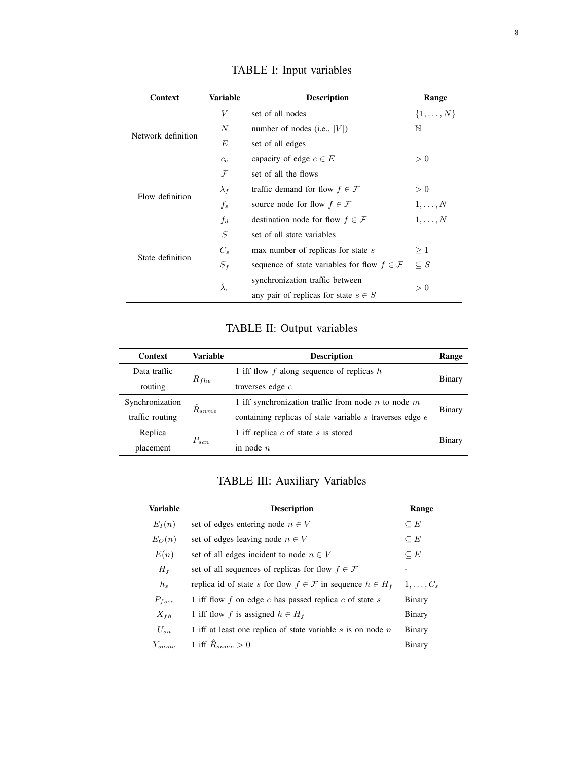| <b>Context</b>     | Variable          | <b>Description</b>                                       | Range            |
|--------------------|-------------------|----------------------------------------------------------|------------------|
| Network definition | V                 | set of all nodes                                         | $\{1,\ldots,N\}$ |
|                    | $\boldsymbol{N}$  | number of nodes (i.e., $ V $ )                           | N                |
|                    | E                 | set of all edges                                         |                  |
|                    | $c_{e}$           | capacity of edge $e \in E$                               | > 0              |
| Flow definition    | $\mathcal{F}$     | set of all the flows                                     |                  |
|                    | $\lambda_f$       | traffic demand for flow $f \in \mathcal{F}$              | > 0              |
|                    | $f_s$             | source node for flow $f \in \mathcal{F}$                 | $1,\ldots,N$     |
|                    | $f_d$             | destination node for flow $f \in \mathcal{F}$            | $1,\ldots,N$     |
| State definition   | S                 | set of all state variables                               |                  |
|                    | $C_s$             | max number of replicas for state s                       | >1               |
|                    | $S_f$             | sequence of state variables for flow $f \in \mathcal{F}$ | $\subseteq S$    |
|                    | $\hat{\lambda}_s$ | synchronization traffic between                          | > 0              |
|                    |                   | any pair of replicas for state $s \in S$                 |                  |

# TABLE I: Input variables

# TABLE II: Output variables

| <b>Context</b>  | Variable            | <b>Description</b>                                           | Range  |
|-----------------|---------------------|--------------------------------------------------------------|--------|
| Data traffic    |                     | 1 iff flow f along sequence of replicas $h$                  | Binary |
| routing         | $R_{fhe}$           | traverses edge $e$                                           |        |
| Synchronization | $\hat{R}_{s n m e}$ | 1 iff synchronization traffic from node $n$ to node $m$      | Binary |
| traffic routing |                     | containing replicas of state variable $s$ traverses edge $e$ |        |
| Replica         | $P_{scn}$           | 1 iff replica $c$ of state $s$ is stored                     | Binary |
| placement       |                     | in node $n$                                                  |        |

# TABLE III: Auxiliary Variables

| <b>Variable</b> | <b>Description</b>                                                         | Range            |
|-----------------|----------------------------------------------------------------------------|------------------|
| $E_I(n)$        | set of edges entering node $n \in V$                                       | $\subset E$      |
| $E_O(n)$        | set of edges leaving node $n \in V$                                        | $\subset E$      |
| E(n)            | set of all edges incident to node $n \in V$                                | $\subset E$      |
| $H_f$           | set of all sequences of replicas for flow $f \in \mathcal{F}$              |                  |
| $h_s$           | replica id of state s for flow $f \in \mathcal{F}$ in sequence $h \in H_f$ | $1, \ldots, C_s$ |
| $P_{f\,sec}$    | 1 iff flow f on edge e has passed replica c of state s                     | Binary           |
| $X_{fh}$        | 1 iff flow f is assigned $h \in H_f$                                       | Binary           |
| $U_{sn}$        | 1 iff at least one replica of state variable $s$ is on node $n$            | Binary           |
| $Y_{s n m e}$   | 1 iff $\hat{R}_{s n m e} > 0$                                              | Binary           |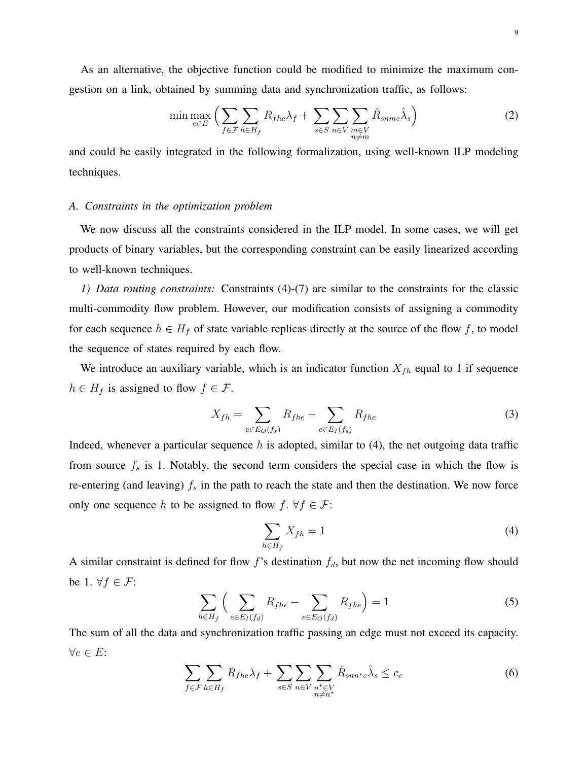As an alternative, the objective function could be modified to minimize the maximum congestion on a link, obtained by summing data and synchronization traffic, as follows:

$$
\min \max_{e \in E} \left( \sum_{f \in \mathcal{F}} \sum_{h \in H_f} R_{fhe} \lambda_f + \sum_{s \in S} \sum_{n \in V} \sum_{\substack{m \in V \\ n \neq m}} \hat{R}_{s n m e} \hat{\lambda}_s \right) \tag{2}
$$

and could be easily integrated in the following formalization, using well-known ILP modeling techniques.

#### *A. Constraints in the optimization problem*

We now discuss all the constraints considered in the ILP model. In some cases, we will get products of binary variables, but the corresponding constraint can be easily linearized according to well-known techniques.

*1) Data routing constraints:* Constraints (4)-(7) are similar to the constraints for the classic multi-commodity flow problem. However, our modification consists of assigning a commodity for each sequence  $h \in H_f$  of state variable replicas directly at the source of the flow f, to model the sequence of states required by each flow.

We introduce an auxiliary variable, which is an indicator function  $X_{fh}$  equal to 1 if sequence  $h \in H_f$  is assigned to flow  $f \in \mathcal{F}$ .

$$
X_{fh} = \sum_{e \in E_O(f_s)} R_{fhe} - \sum_{e \in E_I(f_s)} R_{fhe} \tag{3}
$$

Indeed, whenever a particular sequence h is adopted, similar to  $(4)$ , the net outgoing data traffic from source  $f_s$  is 1. Notably, the second term considers the special case in which the flow is re-entering (and leaving)  $f_s$  in the path to reach the state and then the destination. We now force only one sequence h to be assigned to flow f.  $\forall f \in \mathcal{F}$ :

$$
\sum_{h \in H_f} X_{fh} = 1 \tag{4}
$$

A similar constraint is defined for flow f's destination  $f_d$ , but now the net incoming flow should be 1.  $\forall f \in \mathcal{F}$ :

$$
\sum_{h \in H_f} \left( \sum_{e \in E_I(f_d)} R_{fhe} - \sum_{e \in E_O(f_d)} R_{fhe} \right) = 1 \tag{5}
$$

The sum of all the data and synchronization traffic passing an edge must not exceed its capacity.  $\forall e \in E$ :

$$
\sum_{f \in \mathcal{F}} \sum_{h \in H_f} R_{fhe} \lambda_f + \sum_{s \in S} \sum_{n \in V} \sum_{\substack{n^* \in V \\ n \neq n^*}} \hat{R}_{snn^*e} \hat{\lambda}_s \le c_e \tag{6}
$$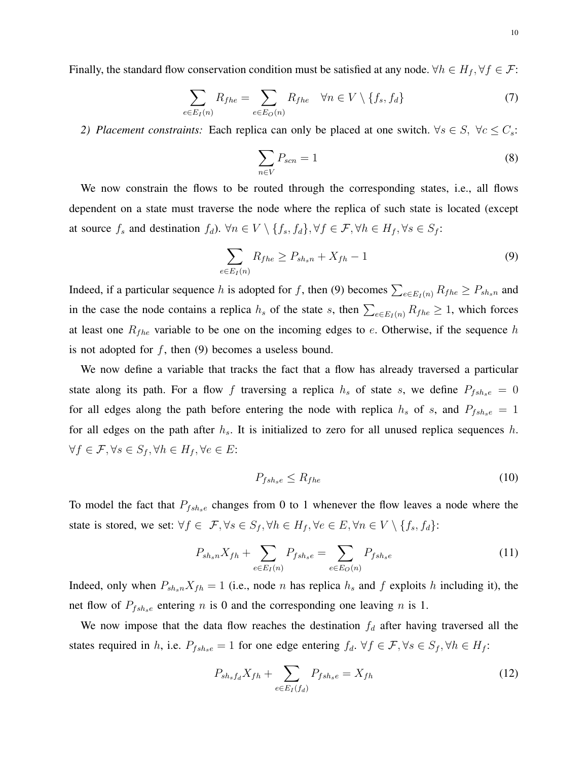Finally, the standard flow conservation condition must be satisfied at any node.  $\forall h \in H_f$ ,  $\forall f \in \mathcal{F}$ :

$$
\sum_{e \in E_I(n)} R_{fhe} = \sum_{e \in E_O(n)} R_{fhe} \quad \forall n \in V \setminus \{f_s, f_d\}
$$
 (7)

*2) Placement constraints:* Each replica can only be placed at one switch.  $\forall s \in S$ ,  $\forall c \leq C_s$ :

$$
\sum_{n\in V} P_{scn} = 1\tag{8}
$$

We now constrain the flows to be routed through the corresponding states, i.e., all flows dependent on a state must traverse the node where the replica of such state is located (except at source  $f_s$  and destination  $f_d$ ).  $\forall n \in V \setminus \{f_s, f_d\}, \forall f \in \mathcal{F}, \forall h \in H_f, \forall s \in S_f$ :

$$
\sum_{e \in E_I(n)} R_{fhe} \ge P_{sh_sn} + X_{fh} - 1 \tag{9}
$$

Indeed, if a particular sequence h is adopted for f, then (9) becomes  $\sum_{e \in E_I(n)} R_{fhe} \ge P_{sh_sn}$  and in the case the node contains a replica  $h_s$  of the state s, then  $\sum_{e \in E_I(n)} R_{fhe} \geq 1$ , which forces at least one  $R_{fhe}$  variable to be one on the incoming edges to e. Otherwise, if the sequence h is not adopted for  $f$ , then  $(9)$  becomes a useless bound.

We now define a variable that tracks the fact that a flow has already traversed a particular state along its path. For a flow f traversing a replica  $h_s$  of state s, we define  $P_{fsh_se} = 0$ for all edges along the path before entering the node with replica  $h_s$  of s, and  $P_{fsh_se} = 1$ for all edges on the path after  $h_s$ . It is initialized to zero for all unused replica sequences h.  $\forall f \in \mathcal{F}, \forall s \in S_f, \forall h \in H_f, \forall e \in E$ :

$$
P_{fsh_se} \le R_{fhe} \tag{10}
$$

To model the fact that  $P_{fshse}$  changes from 0 to 1 whenever the flow leaves a node where the state is stored, we set:  $\forall f \in \mathcal{F}, \forall s \in S_f, \forall h \in H_f, \forall e \in E, \forall n \in V \setminus \{f_s, f_d\}$ :

$$
P_{sh_{s}n}X_{fh} + \sum_{e \in E_I(n)} P_{fsh_se} = \sum_{e \in E_O(n)} P_{fsh_se}
$$
 (11)

Indeed, only when  $P_{sh,n}X_{fh} = 1$  (i.e., node n has replica  $h_s$  and f exploits h including it), the net flow of  $P_{fsh_se}$  entering n is 0 and the corresponding one leaving n is 1.

We now impose that the data flow reaches the destination  $f_d$  after having traversed all the states required in h, i.e.  $P_{fsh_se} = 1$  for one edge entering  $f_d$ .  $\forall f \in \mathcal{F}, \forall s \in S_f, \forall h \in H_f$ :

$$
P_{sh_s f_d} X_{fh} + \sum_{e \in E_I(f_d)} P_{fsh_se} = X_{fh} \tag{12}
$$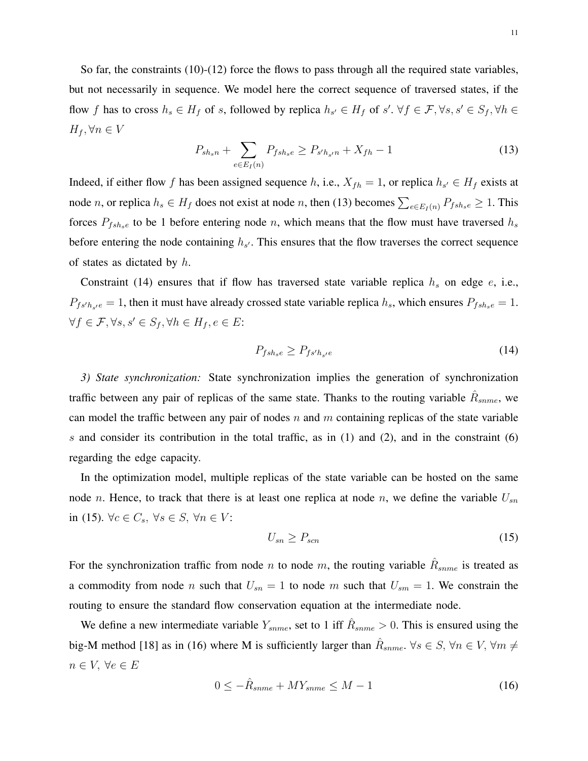So far, the constraints (10)-(12) force the flows to pass through all the required state variables, but not necessarily in sequence. We model here the correct sequence of traversed states, if the flow f has to cross  $h_s \in H_f$  of s, followed by replica  $h_{s'} \in H_f$  of  $s'. \forall f \in \mathcal{F}, \forall s, s' \in S_f, \forall h \in$  $H_f, \forall n \in V$ 

$$
P_{sh_s n} + \sum_{e \in E_I(n)} P_{fsh_s e} \ge P_{s'h_{s'}n} + X_{fh} - 1
$$
\n(13)

Indeed, if either flow f has been assigned sequence h, i.e.,  $X_{fh} = 1$ , or replica  $h_{s'} \in H_f$  exists at node *n*, or replica  $h_s \in H_f$  does not exist at node *n*, then (13) becomes  $\sum_{e \in E_I(n)} P_{fsh_se} \ge 1$ . This forces  $P_{fsh_se}$  to be 1 before entering node n, which means that the flow must have traversed  $h_s$ before entering the node containing  $h_{s'}$ . This ensures that the flow traverses the correct sequence of states as dictated by  $h$ .

Constraint (14) ensures that if flow has traversed state variable replica  $h<sub>s</sub>$  on edge  $e$ , i.e.,  $P_{fs'h_s,e} = 1$ , then it must have already crossed state variable replica  $h_s$ , which ensures  $P_{fsh_se} = 1$ .  $\forall f \in \mathcal{F}, \forall s, s' \in S_f, \forall h \in H_f, e \in E$ :

$$
P_{fsh_se} \ge P_{fs'h_{s'}e} \tag{14}
$$

*3) State synchronization:* State synchronization implies the generation of synchronization traffic between any pair of replicas of the same state. Thanks to the routing variable  $\hat{R}_{same}$ , we can model the traffic between any pair of nodes  $n$  and  $m$  containing replicas of the state variable s and consider its contribution in the total traffic, as in  $(1)$  and  $(2)$ , and in the constraint  $(6)$ regarding the edge capacity.

In the optimization model, multiple replicas of the state variable can be hosted on the same node *n*. Hence, to track that there is at least one replica at node *n*, we define the variable  $U_{sn}$ in (15).  $\forall c \in C_s, \ \forall s \in S, \ \forall n \in V$ :

$$
U_{sn} \ge P_{scn} \tag{15}
$$

For the synchronization traffic from node *n* to node *m*, the routing variable  $\hat{R}_{same}$  is treated as a commodity from node n such that  $U_{sn} = 1$  to node m such that  $U_{sm} = 1$ . We constrain the routing to ensure the standard flow conservation equation at the intermediate node.

We define a new intermediate variable  $Y_{same}$ , set to 1 iff  $\hat{R}_{same} > 0$ . This is ensured using the big-M method [18] as in (16) where M is sufficiently larger than  $\hat{R}_{same}$ .  $\forall s \in S$ ,  $\forall n \in V$ ,  $\forall m \neq$  $n \in V, \, \forall e \in E$ 

$$
0 \le -\hat{R}_{same} + MY_{same} \le M - 1 \tag{16}
$$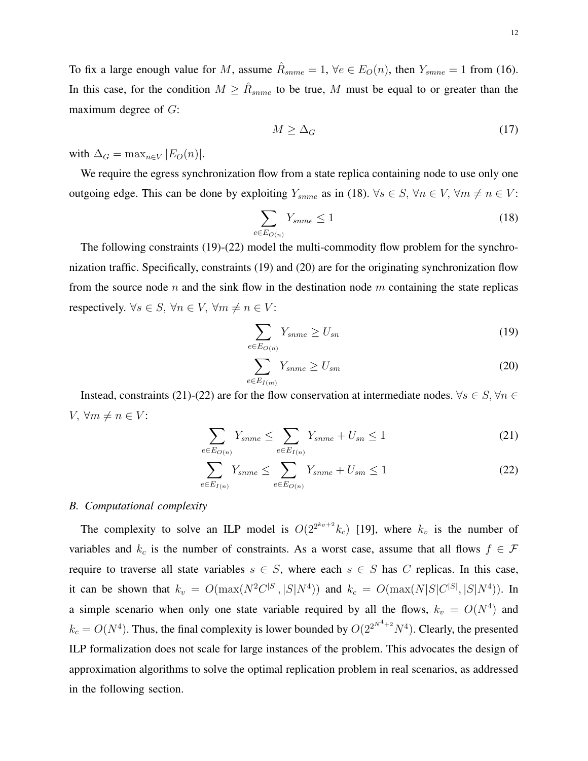To fix a large enough value for M, assume  $\hat{R}_{same} = 1$ ,  $\forall e \in E_O(n)$ , then  $Y_{smne} = 1$  from (16). In this case, for the condition  $M \geq \hat{R}_{snme}$  to be true, M must be equal to or greater than the maximum degree of  $G$ :

$$
M \ge \Delta_G \tag{17}
$$

with  $\Delta_G = \max_{n \in V} |E_O(n)|$ .

We require the egress synchronization flow from a state replica containing node to use only one outgoing edge. This can be done by exploiting  $Y_{same}$  as in (18).  $\forall s \in S, \forall n \in V, \forall m \neq n \in V$ :

$$
\sum_{e \in E_{O(n)}} Y_{same} \le 1 \tag{18}
$$

The following constraints (19)-(22) model the multi-commodity flow problem for the synchronization traffic. Specifically, constraints (19) and (20) are for the originating synchronization flow from the source node n and the sink flow in the destination node m containing the state replicas respectively.  $\forall s \in S, \forall n \in V, \forall m \neq n \in V$ :

$$
\sum_{e \in E_{O(n)}} Y_{snme} \ge U_{sn} \tag{19}
$$

$$
\sum_{e \in E_{I(m)}} Y_{same} \ge U_{sm} \tag{20}
$$

Instead, constraints (21)-(22) are for the flow conservation at intermediate nodes.  $\forall s \in S, \forall n \in$  $V, \forall m \neq n \in V$ :

$$
\sum_{e \in E_{O(n)}} Y_{same} \le \sum_{e \in E_{I(n)}} Y_{same} + U_{sn} \le 1 \tag{21}
$$

$$
\sum_{e \in E_{I(n)}} Y_{same} \le \sum_{e \in E_{O(n)}} Y_{same} + U_{sm} \le 1
$$
\n(22)

### *B. Computational complexity*

The complexity to solve an ILP model is  $O(2^{2^{k_v+2}}k_c)$  [19], where  $k_v$  is the number of variables and  $k_c$  is the number of constraints. As a worst case, assume that all flows  $f \in \mathcal{F}$ require to traverse all state variables  $s \in S$ , where each  $s \in S$  has C replicas. In this case, it can be shown that  $k_v = O(\max(N^2C^{|S|}, |S|N^4))$  and  $k_c = O(\max(N|S|C^{|S|}, |S|N^4))$ . In a simple scenario when only one state variable required by all the flows,  $k_v = O(N^4)$  and  $k_c = O(N^4)$ . Thus, the final complexity is lower bounded by  $O(2^{2^{N^4+2}}N^4)$ . Clearly, the presented ILP formalization does not scale for large instances of the problem. This advocates the design of approximation algorithms to solve the optimal replication problem in real scenarios, as addressed in the following section.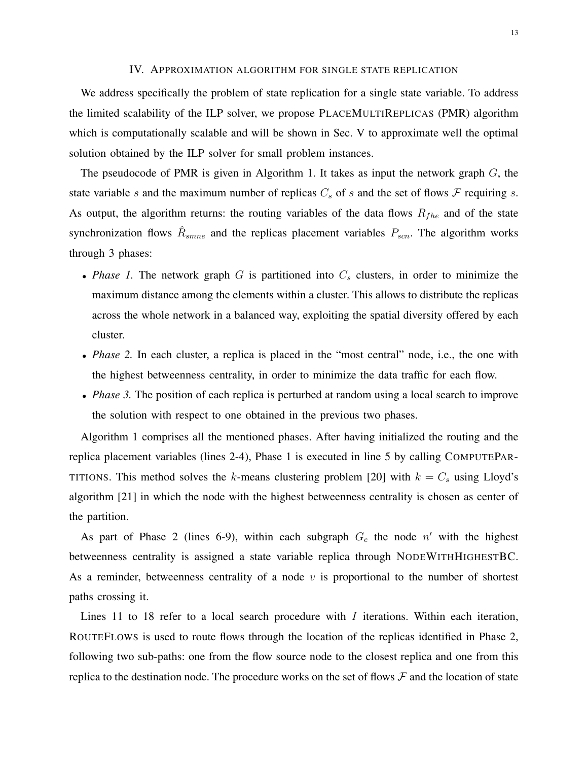#### IV. APPROXIMATION ALGORITHM FOR SINGLE STATE REPLICATION

We address specifically the problem of state replication for a single state variable. To address the limited scalability of the ILP solver, we propose PLACEMULTIREPLICAS (PMR) algorithm which is computationally scalable and will be shown in Sec. V to approximate well the optimal solution obtained by the ILP solver for small problem instances.

The pseudocode of PMR is given in Algorithm 1. It takes as input the network graph  $G$ , the state variable s and the maximum number of replicas  $C_s$  of s and the set of flows  $\mathcal F$  requiring s. As output, the algorithm returns: the routing variables of the data flows  $R_{the}$  and of the state synchronization flows  $\hat{R}_{smne}$  and the replicas placement variables  $P_{sen}$ . The algorithm works through 3 phases:

- *Phase 1*. The network graph  $G$  is partitioned into  $C_s$  clusters, in order to minimize the maximum distance among the elements within a cluster. This allows to distribute the replicas across the whole network in a balanced way, exploiting the spatial diversity offered by each cluster.
- *Phase 2.* In each cluster, a replica is placed in the "most central" node, i.e., the one with the highest betweenness centrality, in order to minimize the data traffic for each flow.
- *Phase 3*. The position of each replica is perturbed at random using a local search to improve the solution with respect to one obtained in the previous two phases.

Algorithm 1 comprises all the mentioned phases. After having initialized the routing and the replica placement variables (lines 2-4), Phase 1 is executed in line 5 by calling COMPUTEPAR-TITIONS. This method solves the k-means clustering problem [20] with  $k = C_s$  using Lloyd's algorithm [21] in which the node with the highest betweenness centrality is chosen as center of the partition.

As part of Phase 2 (lines 6-9), within each subgraph  $G_c$  the node  $n'$  with the highest betweenness centrality is assigned a state variable replica through NODEWITHHIGHESTBC. As a reminder, betweenness centrality of a node  $v$  is proportional to the number of shortest paths crossing it.

Lines 11 to 18 refer to a local search procedure with  $I$  iterations. Within each iteration, ROUTEFLOWS is used to route flows through the location of the replicas identified in Phase 2, following two sub-paths: one from the flow source node to the closest replica and one from this replica to the destination node. The procedure works on the set of flows  $F$  and the location of state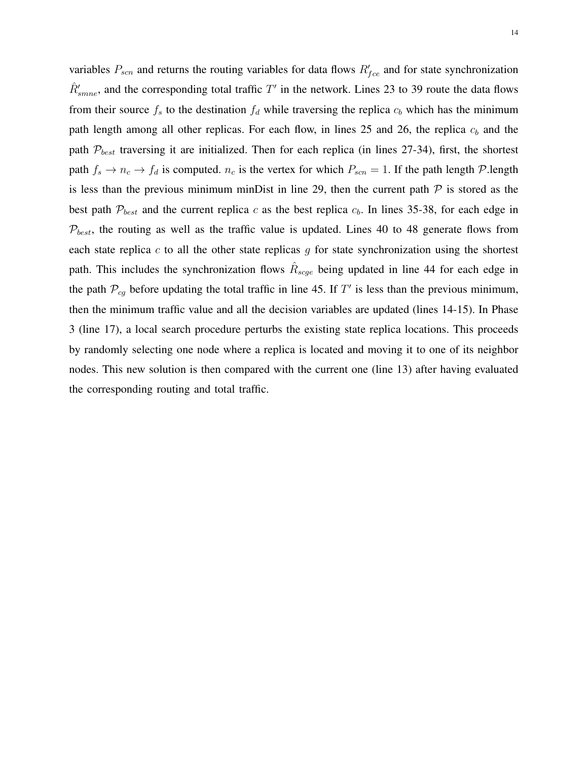variables  $P_{sen}$  and returns the routing variables for data flows  $R'_{free}$  and for state synchronization  $\hat{R}_{smne}^{\prime}$ , and the corresponding total traffic  $T^{\prime}$  in the network. Lines 23 to 39 route the data flows from their source  $f_s$  to the destination  $f_d$  while traversing the replica  $c_b$  which has the minimum path length among all other replicas. For each flow, in lines 25 and 26, the replica  $c<sub>b</sub>$  and the path  $P_{best}$  traversing it are initialized. Then for each replica (in lines 27-34), first, the shortest path  $f_s \to n_c \to f_d$  is computed.  $n_c$  is the vertex for which  $P_{scn} = 1$ . If the path length P.length is less than the previous minimum minDist in line 29, then the current path  $P$  is stored as the best path  $P_{best}$  and the current replica c as the best replica  $c_b$ . In lines 35-38, for each edge in  $P_{best}$ , the routing as well as the traffic value is updated. Lines 40 to 48 generate flows from each state replica c to all the other state replicas q for state synchronization using the shortest path. This includes the synchronization flows  $\hat{R}_{s cge}$  being updated in line 44 for each edge in the path  $\mathcal{P}_{cg}$  before updating the total traffic in line 45. If T' is less than the previous minimum, then the minimum traffic value and all the decision variables are updated (lines 14-15). In Phase 3 (line 17), a local search procedure perturbs the existing state replica locations. This proceeds by randomly selecting one node where a replica is located and moving it to one of its neighbor nodes. This new solution is then compared with the current one (line 13) after having evaluated the corresponding routing and total traffic.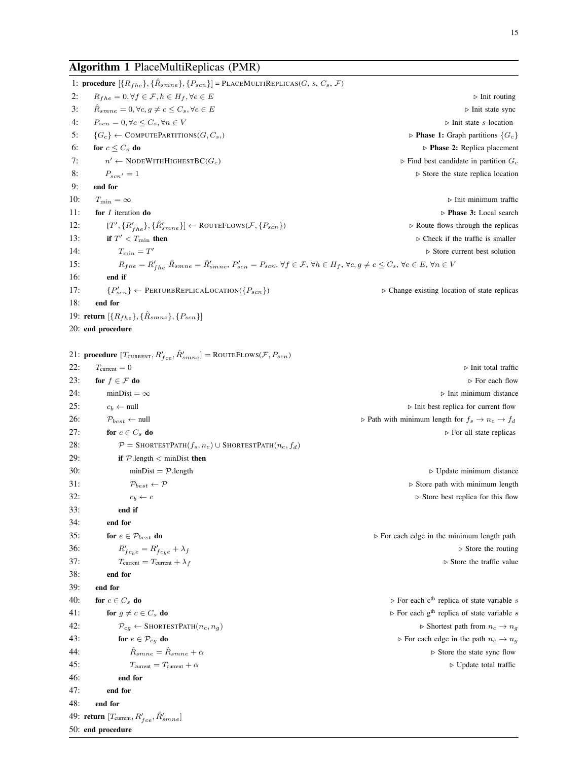# Algorithm 1 PlaceMultiReplicas (PMR)

1: procedure  $[\{R_{fhe}\}, \{\hat{R}_{smne}\}, \{P_{scn}\}]$  = PLACEMULTIREPLICAS(*G*, *s*, *C<sub>s</sub>*, *F*) 2:  $R_{fhe} = 0, \forall f \in \mathcal{F}, h \in H_f, \forall e \in E$  .  $\triangleright$  Init routing 3:  $\hat{R}_{smne} = 0, \forall c, g \neq c \leq C_s, \forall e \in E$  . Denote by Thit state sync 4:  $P_{scn} = 0, \forall c \leq C_s, \forall n \in V$   $\triangleright$  Init state s location 5:  ${G_c} \leftarrow \text{COMPUTEPARTITIONS}(G, C_s)$   $\triangleright$  **Phase 1:** Graph partitions  ${G_c}$ 6: for  $c \leq C_s$  do  $\triangleright$  Phase 2: Replica placement 7:  $n' \leftarrow \text{NODEWITHHIGHESTBC}(G_c)$   $\triangleright$  Find best candidate in partition  $G_c$ 8:  $P_{scn'} = 1$   $\triangleright$  Store the state replica location 9: end for 10:  $T_{\min} = \infty$   $\triangleright$  Init minimum traffic 11: **for I** iteration **do**  $\triangleright$  **Phase 3:** Local search  $12:$  $\mathcal{O}_s(R'_{fhe}), \{\hat{R}'_{smne}\}] \leftarrow \text{ROUTEFLOWs}(\mathcal{F}, \{P_{scn}\})$   $\triangleright$  Route flows through the replicas 13: if  $T' < T_{\min}$  then  $\triangleright$  Check if the traffic is smaller 14:  $T_{\min} = T'$  $\triangleright$  Store current best solution 15:  $R_{fhe} = R'_{fhe} \hat{R}_{smne} = \hat{R}'_{smne}, P'_{scn} = P_{scn}, \forall f \in \mathcal{F}, \forall h \in H_f, \forall c, g \neq c \leq C_s, \forall e \in E, \forall n \in V$  $16:$ 17:  $\{P'_{scn}\}\leftarrow$  PERTURBREPLICALOCATION( $\{P_{scn}\}\$ )  $\triangleright$  Change existing location of state replicas 18: end for 19: return  $[\{R_{fhe}\}, \{\hat{R}_{smne}\}, \{P_{scn}\}]$ 20: end procedure 21: **procedure**  $[T_{\text{CURENT}}, R'_{fce}, \hat{R}'_{smne}] = \text{ROUTEFLOWS}(\mathcal{F}, P_{scn})$ 22:  $T_{current} = 0$   $\triangleright$  Init total traffic 23: for  $f \in \mathcal{F}$  do  $\Rightarrow$  For each flow 24: minDist =  $\infty$  . Init minimum distance 25:  $c_b \leftarrow \text{null}$   $\triangleright$  Init best replica for current flow 26:  $\mathcal{P}_{best} \leftarrow null$   $\triangleright$  Path with minimum length for  $f_s \rightarrow n_c \rightarrow f_d$ 27: **for**  $c \in C_s$  **do**  $\triangleright$  For all state replicas 28:  $\mathcal{P} = \text{SHORTESTPATH}(f_s, n_c) \cup \text{SHORTESTPATH}(n_c, f_d)$ 29: **if**  $P$ .length  $\lt$  minDist then 30: minDist =  $\mathcal{P}$ .length  $\Rightarrow$  Update minimum distance 31:  $\mathcal{P}_{best} \leftarrow \mathcal{P}$   $\triangleright$  Store path with minimum length 32:  $c_b \leftarrow c$   $\triangleright$  Store best replica for this flow 33: end if 34: end for 35: **for**  $e \in \mathcal{P}_{best}$  **do** . **For each edge in the minimum length path** 36:  $R'_{fcbe} = R'_{j}$  $\triangleright$  Store the routing 37:  $T_{current} = T_{current} + \lambda_f$   $\triangleright$  Store the traffic value 38: end for 39: end for 40: **for**  $c \in C_s$  **do**  $\triangleright$  **For each c<sup>th</sup> replica of state variable s** 41: **for**  $g \neq c \in C_s$  **do** . For each g<sup>th</sup> replica of state variable s 42:  $\mathcal{P}_{cg} \leftarrow$  SHORTESTPATH $(n_c, n_g)$   $\triangleright$  Shortest path from  $n_c \rightarrow n_g$ 43: **for**  $e \in \mathcal{P}_{cg}$  **do** . For each edge in the path  $n_c \to n_g$ 44:  $\hat{R}_{smne} = \hat{R}_{smne} + \alpha$   $\triangleright$  Store the state sync flow 45:  $T_{current} = T_{current} + \alpha$  b Update total traffic 46: end for 47: end for 48: end for 49: return  $[T_{\text{current}}, R'_{free}, \hat{R}'_{smne}]$ 

50: end procedure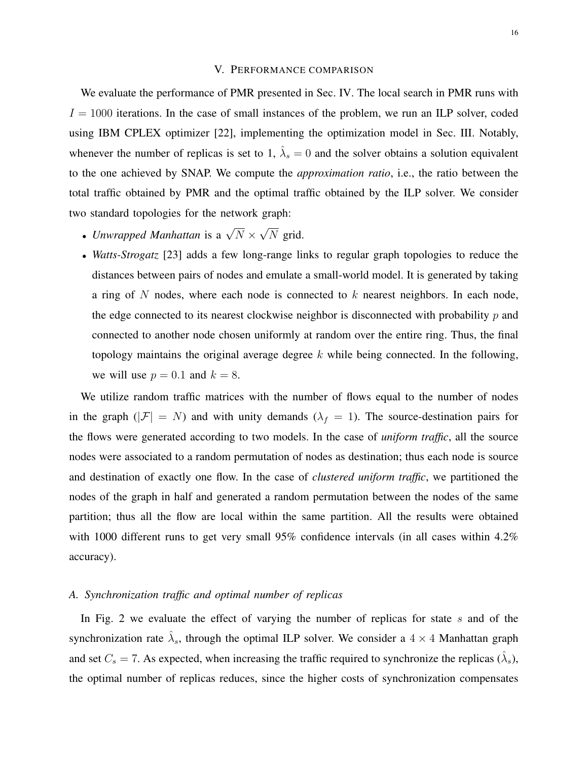#### V. PERFORMANCE COMPARISON

We evaluate the performance of PMR presented in Sec. IV. The local search in PMR runs with  $I = 1000$  iterations. In the case of small instances of the problem, we run an ILP solver, coded using IBM CPLEX optimizer [22], implementing the optimization model in Sec. III. Notably, whenever the number of replicas is set to 1,  $\hat{\lambda}_s = 0$  and the solver obtains a solution equivalent to the one achieved by SNAP. We compute the *approximation ratio*, i.e., the ratio between the total traffic obtained by PMR and the optimal traffic obtained by the ILP solver. We consider two standard topologies for the network graph:

- *Unwrapped Manhattan* is a  $\sqrt{N}$   $\times$ √  $N$  grid.
- *Watts-Strogatz* [23] adds a few long-range links to regular graph topologies to reduce the distances between pairs of nodes and emulate a small-world model. It is generated by taking a ring of  $N$  nodes, where each node is connected to  $k$  nearest neighbors. In each node, the edge connected to its nearest clockwise neighbor is disconnected with probability  $p$  and connected to another node chosen uniformly at random over the entire ring. Thus, the final topology maintains the original average degree  $k$  while being connected. In the following, we will use  $p = 0.1$  and  $k = 8$ .

We utilize random traffic matrices with the number of flows equal to the number of nodes in the graph  $(|\mathcal{F}| = N)$  and with unity demands  $(\lambda_f = 1)$ . The source-destination pairs for the flows were generated according to two models. In the case of *uniform traffic*, all the source nodes were associated to a random permutation of nodes as destination; thus each node is source and destination of exactly one flow. In the case of *clustered uniform traffic*, we partitioned the nodes of the graph in half and generated a random permutation between the nodes of the same partition; thus all the flow are local within the same partition. All the results were obtained with 1000 different runs to get very small 95% confidence intervals (in all cases within 4.2% accuracy).

#### *A. Synchronization traffic and optimal number of replicas*

In Fig. 2 we evaluate the effect of varying the number of replicas for state  $s$  and of the synchronization rate  $\hat{\lambda}_s$ , through the optimal ILP solver. We consider a  $4 \times 4$  Manhattan graph and set  $C_s = 7$ . As expected, when increasing the traffic required to synchronize the replicas  $(\hat{\lambda}_s)$ , the optimal number of replicas reduces, since the higher costs of synchronization compensates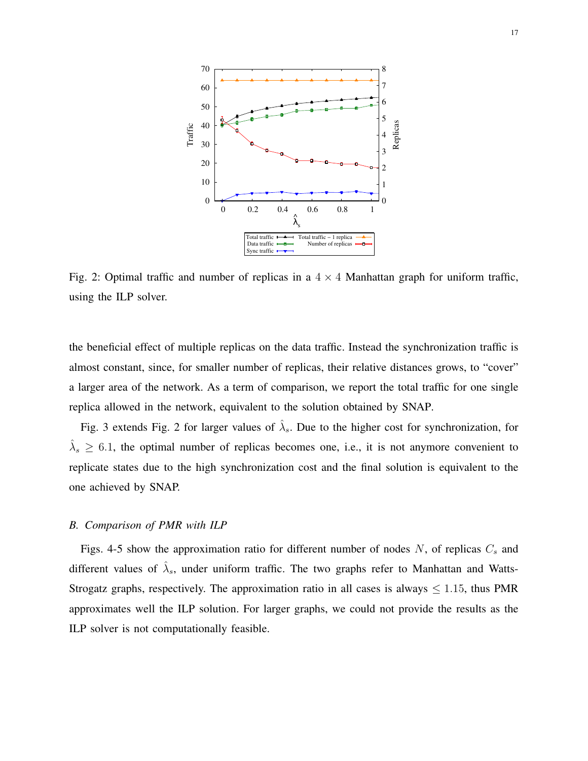

Fig. 2: Optimal traffic and number of replicas in a  $4 \times 4$  Manhattan graph for uniform traffic, using the ILP solver.

the beneficial effect of multiple replicas on the data traffic. Instead the synchronization traffic is almost constant, since, for smaller number of replicas, their relative distances grows, to "cover" a larger area of the network. As a term of comparison, we report the total traffic for one single replica allowed in the network, equivalent to the solution obtained by SNAP.

Fig. 3 extends Fig. 2 for larger values of  $\hat{\lambda}_s$ . Due to the higher cost for synchronization, for  $\hat{\lambda}_s \geq 6.1$ , the optimal number of replicas becomes one, i.e., it is not anymore convenient to replicate states due to the high synchronization cost and the final solution is equivalent to the one achieved by SNAP.

## *B. Comparison of PMR with ILP*

Figs. 4-5 show the approximation ratio for different number of nodes  $N$ , of replicas  $C_s$  and different values of  $\hat{\lambda}_s$ , under uniform traffic. The two graphs refer to Manhattan and Watts-Strogatz graphs, respectively. The approximation ratio in all cases is always  $\leq 1.15$ , thus PMR approximates well the ILP solution. For larger graphs, we could not provide the results as the ILP solver is not computationally feasible.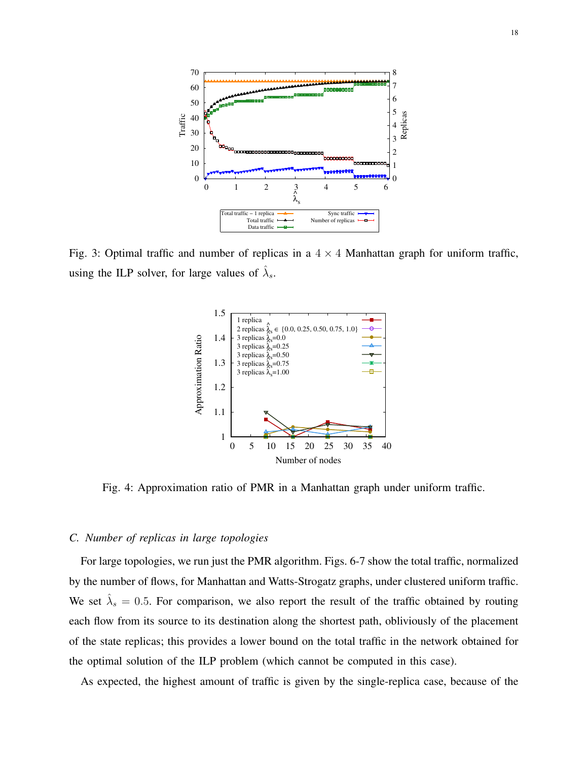

Fig. 3: Optimal traffic and number of replicas in a  $4 \times 4$  Manhattan graph for uniform traffic, using the ILP solver, for large values of  $\hat{\lambda}_s$ .



Fig. 4: Approximation ratio of PMR in a Manhattan graph under uniform traffic.

#### *C. Number of replicas in large topologies*

For large topologies, we run just the PMR algorithm. Figs. 6-7 show the total traffic, normalized by the number of flows, for Manhattan and Watts-Strogatz graphs, under clustered uniform traffic. We set  $\hat{\lambda}_s = 0.5$ . For comparison, we also report the result of the traffic obtained by routing each flow from its source to its destination along the shortest path, obliviously of the placement of the state replicas; this provides a lower bound on the total traffic in the network obtained for the optimal solution of the ILP problem (which cannot be computed in this case).

As expected, the highest amount of traffic is given by the single-replica case, because of the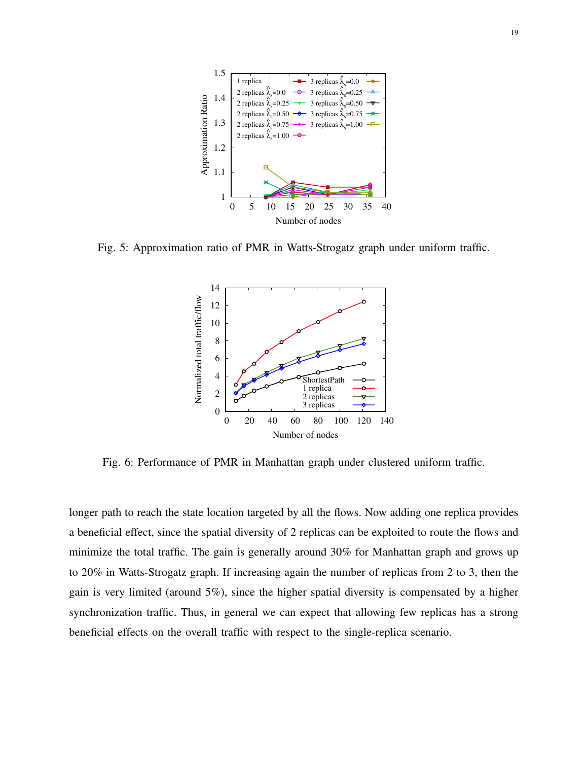

Fig. 5: Approximation ratio of PMR in Watts-Strogatz graph under uniform traffic.



Fig. 6: Performance of PMR in Manhattan graph under clustered uniform traffic.

longer path to reach the state location targeted by all the flows. Now adding one replica provides a beneficial effect, since the spatial diversity of 2 replicas can be exploited to route the flows and minimize the total traffic. The gain is generally around 30% for Manhattan graph and grows up to 20% in Watts-Strogatz graph. If increasing again the number of replicas from 2 to 3, then the gain is very limited (around 5%), since the higher spatial diversity is compensated by a higher synchronization traffic. Thus, in general we can expect that allowing few replicas has a strong beneficial effects on the overall traffic with respect to the single-replica scenario.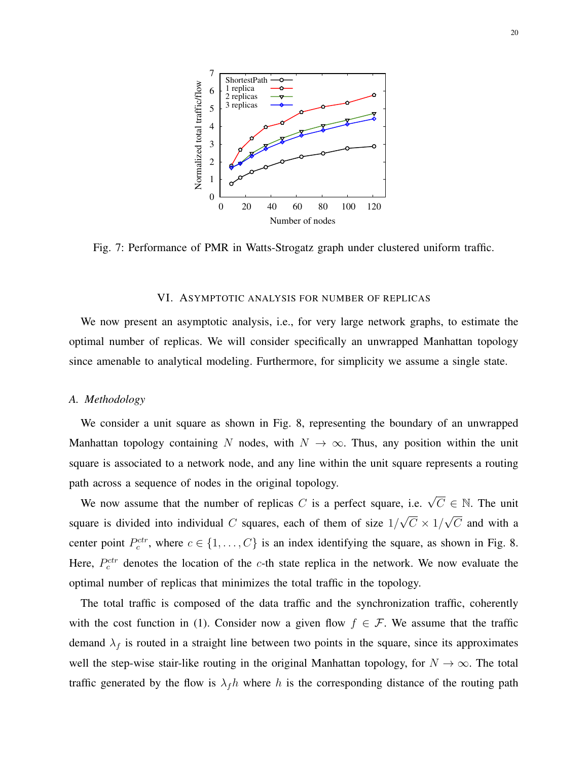

Fig. 7: Performance of PMR in Watts-Strogatz graph under clustered uniform traffic.

#### VI. ASYMPTOTIC ANALYSIS FOR NUMBER OF REPLICAS

We now present an asymptotic analysis, i.e., for very large network graphs, to estimate the optimal number of replicas. We will consider specifically an unwrapped Manhattan topology since amenable to analytical modeling. Furthermore, for simplicity we assume a single state.

#### *A. Methodology*

We consider a unit square as shown in Fig. 8, representing the boundary of an unwrapped Manhattan topology containing N nodes, with  $N \to \infty$ . Thus, any position within the unit square is associated to a network node, and any line within the unit square represents a routing path across a sequence of nodes in the original topology.

We now assume that the number of replicas C is a perfect square, i.e.  $\sqrt{C} \in \mathbb{N}$ . The unit square is divided into individual C squares, each of them of size  $1/$ √  $C \times 1/$ √  $C$  and with a center point  $P_c^{ctr}$ , where  $c \in \{1, \ldots, C\}$  is an index identifying the square, as shown in Fig. 8. Here,  $P_c^{ctr}$  denotes the location of the c-th state replica in the network. We now evaluate the optimal number of replicas that minimizes the total traffic in the topology.

The total traffic is composed of the data traffic and the synchronization traffic, coherently with the cost function in (1). Consider now a given flow  $f \in \mathcal{F}$ . We assume that the traffic demand  $\lambda_f$  is routed in a straight line between two points in the square, since its approximates well the step-wise stair-like routing in the original Manhattan topology, for  $N \to \infty$ . The total traffic generated by the flow is  $\lambda_f h$  where h is the corresponding distance of the routing path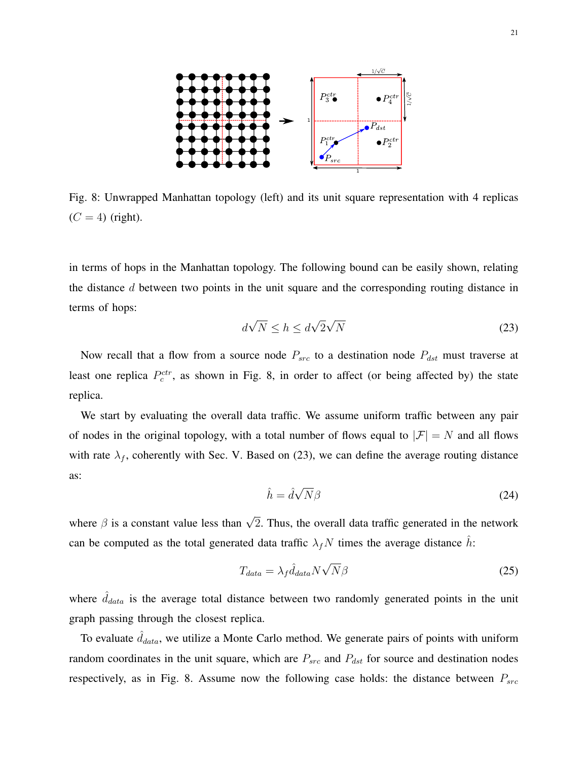

Fig. 8: Unwrapped Manhattan topology (left) and its unit square representation with 4 replicas  $(C = 4)$  (right).

in terms of hops in the Manhattan topology. The following bound can be easily shown, relating the distance  $d$  between two points in the unit square and the corresponding routing distance in terms of hops:

$$
d\sqrt{N} \le h \le d\sqrt{2}\sqrt{N} \tag{23}
$$

Now recall that a flow from a source node  $P_{src}$  to a destination node  $P_{dst}$  must traverse at least one replica  $P_c^{ctr}$ , as shown in Fig. 8, in order to affect (or being affected by) the state replica.

We start by evaluating the overall data traffic. We assume uniform traffic between any pair of nodes in the original topology, with a total number of flows equal to  $|\mathcal{F}| = N$  and all flows with rate  $\lambda_f$ , coherently with Sec. V. Based on (23), we can define the average routing distance as:

$$
\hat{h} = \hat{d}\sqrt{N}\beta\tag{24}
$$

where  $\beta$  is a constant value less than  $\sqrt{2}$ . Thus, the overall data traffic generated in the network can be computed as the total generated data traffic  $\lambda_f N$  times the average distance  $\hat{h}$ :

$$
T_{data} = \lambda_f \hat{d}_{data} N \sqrt{N} \beta \tag{25}
$$

where  $\hat{d}_{data}$  is the average total distance between two randomly generated points in the unit graph passing through the closest replica.

To evaluate  $\hat{d}_{data}$ , we utilize a Monte Carlo method. We generate pairs of points with uniform random coordinates in the unit square, which are  $P_{src}$  and  $P_{dst}$  for source and destination nodes respectively, as in Fig. 8. Assume now the following case holds: the distance between  $P_{src}$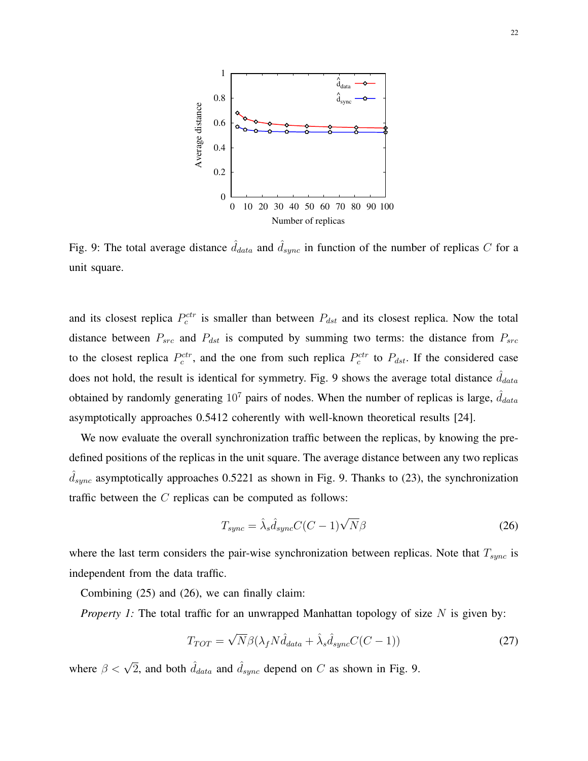

Fig. 9: The total average distance  $\hat{d}_{data}$  and  $\hat{d}_{sync}$  in function of the number of replicas C for a unit square.

and its closest replica  $P_c^{ctr}$  is smaller than between  $P_{dst}$  and its closest replica. Now the total distance between  $P_{src}$  and  $P_{dst}$  is computed by summing two terms: the distance from  $P_{src}$ to the closest replica  $P_c^{ctr}$ , and the one from such replica  $P_c^{ctr}$  to  $P_{dst}$ . If the considered case does not hold, the result is identical for symmetry. Fig. 9 shows the average total distance  $\hat{d}_{data}$ obtained by randomly generating  $10^7$  pairs of nodes. When the number of replicas is large,  $\hat{d}_{data}$ asymptotically approaches 0.5412 coherently with well-known theoretical results [24].

We now evaluate the overall synchronization traffic between the replicas, by knowing the predefined positions of the replicas in the unit square. The average distance between any two replicas  $\hat{d}_{sync}$  asymptotically approaches 0.5221 as shown in Fig. 9. Thanks to (23), the synchronization traffic between the C replicas can be computed as follows:

$$
T_{sync} = \hat{\lambda}_s \hat{d}_{sync} C (C - 1) \sqrt{N} \beta
$$
\n(26)

where the last term considers the pair-wise synchronization between replicas. Note that  $T_{sync}$  is independent from the data traffic.

Combining (25) and (26), we can finally claim:

*Property 1:* The total traffic for an unwrapped Manhattan topology of size N is given by:

$$
T_{TOT} = \sqrt{N} \beta (\lambda_f N \hat{d}_{data} + \hat{\lambda}_s \hat{d}_{sync} C(C - 1))
$$
\n(27)

where  $\beta < \sqrt{2}$ , and both  $\hat{d}_{data}$  and  $\hat{d}_{sync}$  depend on C as shown in Fig. 9.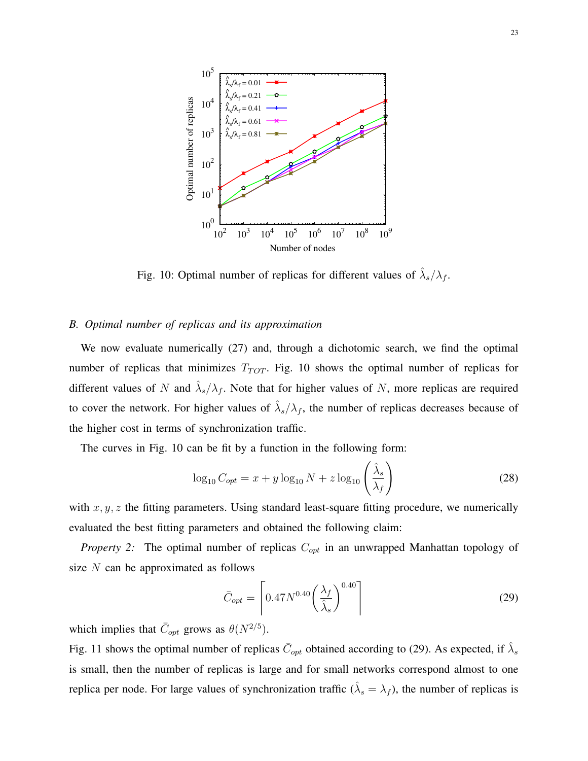

Fig. 10: Optimal number of replicas for different values of  $\hat{\lambda}_s/\lambda_f$ .

#### *B. Optimal number of replicas and its approximation*

We now evaluate numerically (27) and, through a dichotomic search, we find the optimal number of replicas that minimizes  $T_{TOT}$ . Fig. 10 shows the optimal number of replicas for different values of N and  $\hat{\lambda}_s/\lambda_f$ . Note that for higher values of N, more replicas are required to cover the network. For higher values of  $\hat{\lambda}_s/\lambda_f$ , the number of replicas decreases because of the higher cost in terms of synchronization traffic.

The curves in Fig. 10 can be fit by a function in the following form:

$$
\log_{10} C_{opt} = x + y \log_{10} N + z \log_{10} \left(\frac{\hat{\lambda}_s}{\lambda_f}\right)
$$
 (28)

with  $x, y, z$  the fitting parameters. Using standard least-square fitting procedure, we numerically evaluated the best fitting parameters and obtained the following claim:

*Property 2:* The optimal number of replicas  $C_{opt}$  in an unwrapped Manhattan topology of size  $N$  can be approximated as follows

$$
\bar{C}_{opt} = \left[ 0.47 N^{0.40} \left( \frac{\lambda_f}{\hat{\lambda}_s} \right)^{0.40} \right] \tag{29}
$$

which implies that  $\bar{C}_{opt}$  grows as  $\theta(N^{2/5})$ .

Fig. 11 shows the optimal number of replicas  $\bar{C}_{opt}$  obtained according to (29). As expected, if  $\hat{\lambda}_s$ is small, then the number of replicas is large and for small networks correspond almost to one replica per node. For large values of synchronization traffic  $(\hat{\lambda}_s = \lambda_f)$ , the number of replicas is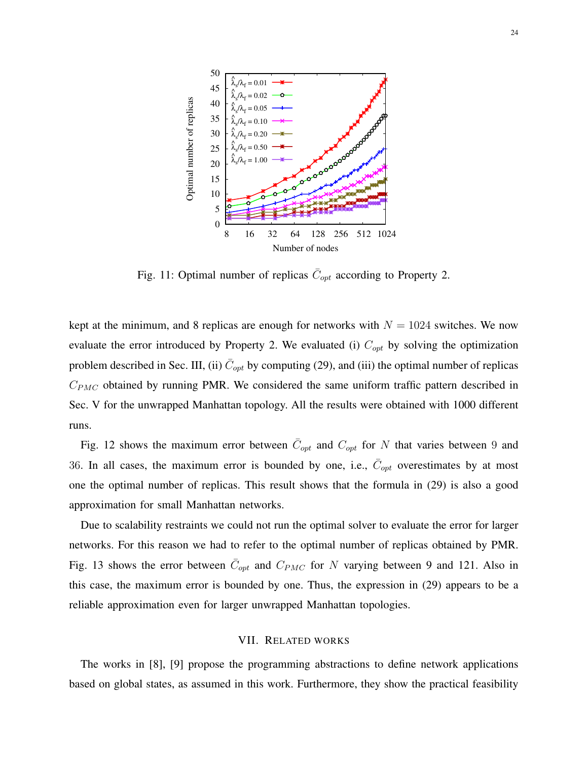

Fig. 11: Optimal number of replicas  $\bar{C}_{opt}$  according to Property 2.

kept at the minimum, and 8 replicas are enough for networks with  $N = 1024$  switches. We now evaluate the error introduced by Property 2. We evaluated (i)  $C_{opt}$  by solving the optimization problem described in Sec. III, (ii)  $\bar{C}_{opt}$  by computing (29), and (iii) the optimal number of replicas  $C_{PMC}$  obtained by running PMR. We considered the same uniform traffic pattern described in Sec. V for the unwrapped Manhattan topology. All the results were obtained with 1000 different runs.

Fig. 12 shows the maximum error between  $\bar{C}_{opt}$  and  $C_{opt}$  for N that varies between 9 and 36. In all cases, the maximum error is bounded by one, i.e.,  $\bar{C}_{opt}$  overestimates by at most one the optimal number of replicas. This result shows that the formula in (29) is also a good approximation for small Manhattan networks.

Due to scalability restraints we could not run the optimal solver to evaluate the error for larger networks. For this reason we had to refer to the optimal number of replicas obtained by PMR. Fig. 13 shows the error between  $\bar{C}_{opt}$  and  $C_{PMC}$  for N varying between 9 and 121. Also in this case, the maximum error is bounded by one. Thus, the expression in (29) appears to be a reliable approximation even for larger unwrapped Manhattan topologies.

### VII. RELATED WORKS

The works in [8], [9] propose the programming abstractions to define network applications based on global states, as assumed in this work. Furthermore, they show the practical feasibility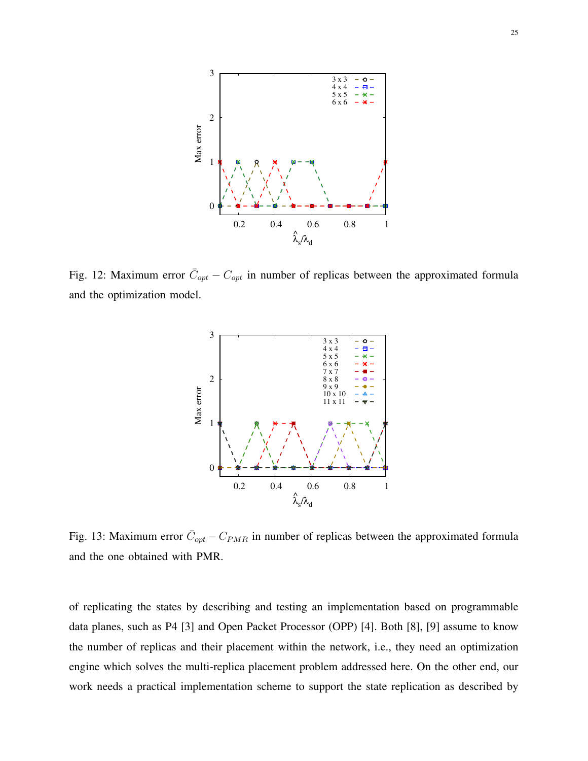

Fig. 12: Maximum error  $\bar{C}_{opt} - C_{opt}$  in number of replicas between the approximated formula and the optimization model.



Fig. 13: Maximum error  $\bar{C}_{opt} - C_{PMR}$  in number of replicas between the approximated formula and the one obtained with PMR.

of replicating the states by describing and testing an implementation based on programmable data planes, such as P4 [3] and Open Packet Processor (OPP) [4]. Both [8], [9] assume to know the number of replicas and their placement within the network, i.e., they need an optimization engine which solves the multi-replica placement problem addressed here. On the other end, our work needs a practical implementation scheme to support the state replication as described by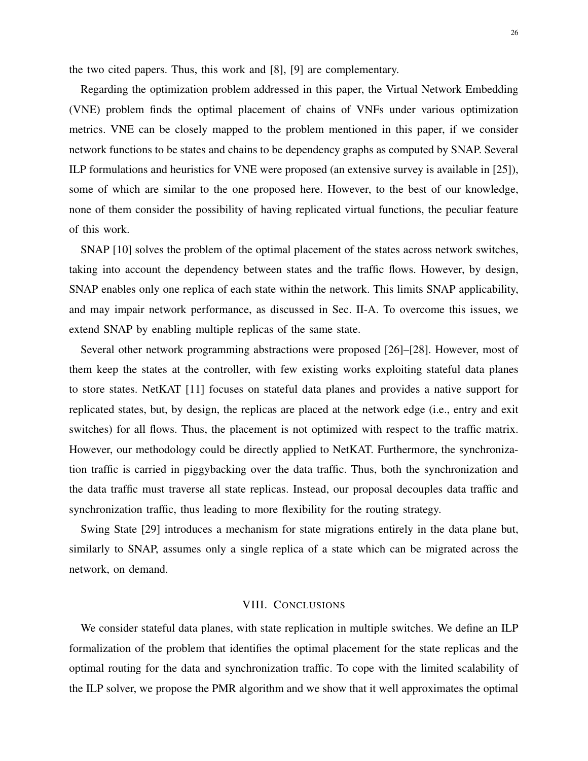the two cited papers. Thus, this work and [8], [9] are complementary.

Regarding the optimization problem addressed in this paper, the Virtual Network Embedding (VNE) problem finds the optimal placement of chains of VNFs under various optimization metrics. VNE can be closely mapped to the problem mentioned in this paper, if we consider network functions to be states and chains to be dependency graphs as computed by SNAP. Several ILP formulations and heuristics for VNE were proposed (an extensive survey is available in [25]), some of which are similar to the one proposed here. However, to the best of our knowledge, none of them consider the possibility of having replicated virtual functions, the peculiar feature of this work.

SNAP [10] solves the problem of the optimal placement of the states across network switches, taking into account the dependency between states and the traffic flows. However, by design, SNAP enables only one replica of each state within the network. This limits SNAP applicability, and may impair network performance, as discussed in Sec. II-A. To overcome this issues, we extend SNAP by enabling multiple replicas of the same state.

Several other network programming abstractions were proposed [26]–[28]. However, most of them keep the states at the controller, with few existing works exploiting stateful data planes to store states. NetKAT [11] focuses on stateful data planes and provides a native support for replicated states, but, by design, the replicas are placed at the network edge (i.e., entry and exit switches) for all flows. Thus, the placement is not optimized with respect to the traffic matrix. However, our methodology could be directly applied to NetKAT. Furthermore, the synchronization traffic is carried in piggybacking over the data traffic. Thus, both the synchronization and the data traffic must traverse all state replicas. Instead, our proposal decouples data traffic and synchronization traffic, thus leading to more flexibility for the routing strategy.

Swing State [29] introduces a mechanism for state migrations entirely in the data plane but, similarly to SNAP, assumes only a single replica of a state which can be migrated across the network, on demand.

# VIII. CONCLUSIONS

We consider stateful data planes, with state replication in multiple switches. We define an ILP formalization of the problem that identifies the optimal placement for the state replicas and the optimal routing for the data and synchronization traffic. To cope with the limited scalability of the ILP solver, we propose the PMR algorithm and we show that it well approximates the optimal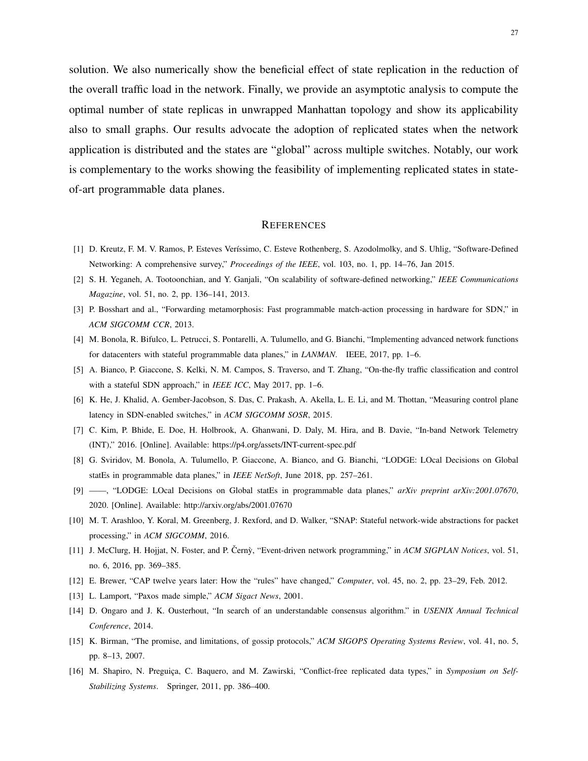solution. We also numerically show the beneficial effect of state replication in the reduction of the overall traffic load in the network. Finally, we provide an asymptotic analysis to compute the optimal number of state replicas in unwrapped Manhattan topology and show its applicability also to small graphs. Our results advocate the adoption of replicated states when the network application is distributed and the states are "global" across multiple switches. Notably, our work is complementary to the works showing the feasibility of implementing replicated states in stateof-art programmable data planes.

#### **REFERENCES**

- [1] D. Kreutz, F. M. V. Ramos, P. Esteves Veríssimo, C. Esteve Rothenberg, S. Azodolmolky, and S. Uhlig, "Software-Defined Networking: A comprehensive survey," *Proceedings of the IEEE*, vol. 103, no. 1, pp. 14–76, Jan 2015.
- [2] S. H. Yeganeh, A. Tootoonchian, and Y. Ganjali, "On scalability of software-defined networking," *IEEE Communications Magazine*, vol. 51, no. 2, pp. 136–141, 2013.
- [3] P. Bosshart and al., "Forwarding metamorphosis: Fast programmable match-action processing in hardware for SDN," in *ACM SIGCOMM CCR*, 2013.
- [4] M. Bonola, R. Bifulco, L. Petrucci, S. Pontarelli, A. Tulumello, and G. Bianchi, "Implementing advanced network functions for datacenters with stateful programmable data planes," in *LANMAN*. IEEE, 2017, pp. 1–6.
- [5] A. Bianco, P. Giaccone, S. Kelki, N. M. Campos, S. Traverso, and T. Zhang, "On-the-fly traffic classification and control with a stateful SDN approach," in *IEEE ICC*, May 2017, pp. 1–6.
- [6] K. He, J. Khalid, A. Gember-Jacobson, S. Das, C. Prakash, A. Akella, L. E. Li, and M. Thottan, "Measuring control plane latency in SDN-enabled switches," in *ACM SIGCOMM SOSR*, 2015.
- [7] C. Kim, P. Bhide, E. Doe, H. Holbrook, A. Ghanwani, D. Daly, M. Hira, and B. Davie, "In-band Network Telemetry (INT)," 2016. [Online]. Available: https://p4.org/assets/INT-current-spec.pdf
- [8] G. Sviridov, M. Bonola, A. Tulumello, P. Giaccone, A. Bianco, and G. Bianchi, "LODGE: LOcal Decisions on Global statEs in programmable data planes," in *IEEE NetSoft*, June 2018, pp. 257–261.
- [9] ——, "LODGE: LOcal Decisions on Global statEs in programmable data planes," *arXiv preprint arXiv:2001.07670*, 2020. [Online]. Available: http://arxiv.org/abs/2001.07670
- [10] M. T. Arashloo, Y. Koral, M. Greenberg, J. Rexford, and D. Walker, "SNAP: Stateful network-wide abstractions for packet processing," in *ACM SIGCOMM*, 2016.
- [11] J. McClurg, H. Hojjat, N. Foster, and P. Cerny, "Event-driven network programming," in *ACM SIGPLAN Notices*, vol. 51, no. 6, 2016, pp. 369–385.
- [12] E. Brewer, "CAP twelve years later: How the "rules" have changed," *Computer*, vol. 45, no. 2, pp. 23–29, Feb. 2012.
- [13] L. Lamport, "Paxos made simple," *ACM Sigact News*, 2001.
- [14] D. Ongaro and J. K. Ousterhout, "In search of an understandable consensus algorithm." in *USENIX Annual Technical Conference*, 2014.
- [15] K. Birman, "The promise, and limitations, of gossip protocols," *ACM SIGOPS Operating Systems Review*, vol. 41, no. 5, pp. 8–13, 2007.
- [16] M. Shapiro, N. Preguiça, C. Baquero, and M. Zawirski, "Conflict-free replicated data types," in *Symposium on Self-Stabilizing Systems*. Springer, 2011, pp. 386–400.